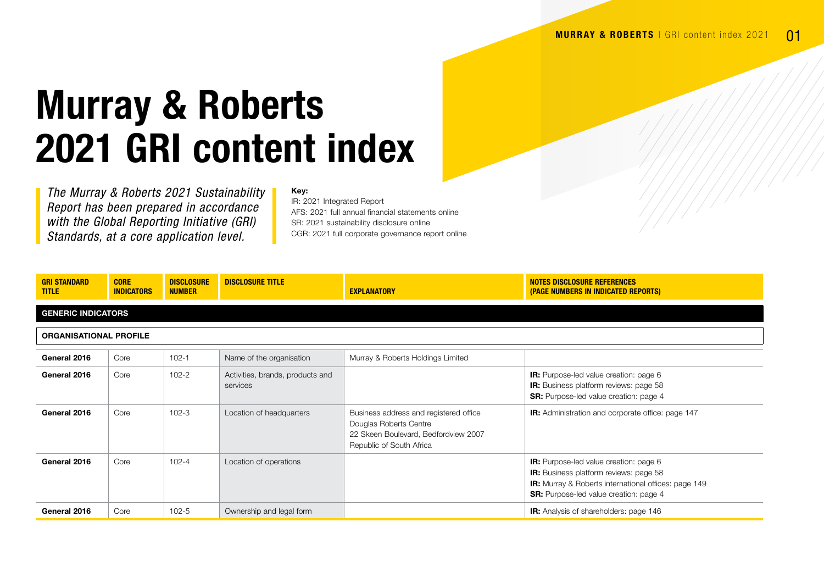## Murray & Roberts 2021 GRI content index

*The Murray & Roberts 2021 Sustainability Report has been prepared in accordance with the Global Reporting Initiative (GRI) Standards, at a core application level.*

## Key:

IR: 2021 Integrated Report AFS: 2021 full annual financial statements online SR: 2021 sustainability disclosure online CGR: 2021 full corporate governance report online

| <b>GRI STANDARD</b><br><b>TITLE</b> | <b>CORE</b><br><b>INDICATORS</b> | <b>DISCLOSURE</b><br><b>NUMBER</b> | <b>DISCLOSURE TITLE</b>                      | <b>EXPLANATORY</b>                                                                                                                   | NOTES DISCLOSURE REFERENCES<br>(PAGE NUMBERS IN INDICATED REPORTS)                                                                                                                                             |  |  |
|-------------------------------------|----------------------------------|------------------------------------|----------------------------------------------|--------------------------------------------------------------------------------------------------------------------------------------|----------------------------------------------------------------------------------------------------------------------------------------------------------------------------------------------------------------|--|--|
| <b>GENERIC INDICATORS</b>           |                                  |                                    |                                              |                                                                                                                                      |                                                                                                                                                                                                                |  |  |
| <b>ORGANISATIONAL PROFILE</b>       |                                  |                                    |                                              |                                                                                                                                      |                                                                                                                                                                                                                |  |  |
| General 2016                        | Core                             | $102 - 1$                          | Name of the organisation                     | Murray & Roberts Holdings Limited                                                                                                    |                                                                                                                                                                                                                |  |  |
| General 2016                        | Core                             | $102 - 2$                          | Activities, brands, products and<br>services |                                                                                                                                      | <b>IR:</b> Purpose-led value creation: page 6<br><b>IR:</b> Business platform reviews: page 58<br><b>SR:</b> Purpose-led value creation: page 4                                                                |  |  |
| General 2016                        | Core                             | $102 - 3$                          | Location of headquarters                     | Business address and registered office<br>Douglas Roberts Centre<br>22 Skeen Boulevard, Bedfordview 2007<br>Republic of South Africa | <b>IR:</b> Administration and corporate office: page 147                                                                                                                                                       |  |  |
| General 2016                        | Core                             | $102 - 4$                          | Location of operations                       |                                                                                                                                      | <b>IR:</b> Purpose-led value creation: page 6<br><b>IR:</b> Business platform reviews: page 58<br><b>IR:</b> Murray & Roberts international offices: page 149<br><b>SR:</b> Purpose-led value creation: page 4 |  |  |
| General 2016                        | Core                             | $102 - 5$                          | Ownership and legal form                     |                                                                                                                                      | <b>IR:</b> Analysis of shareholders: page 146                                                                                                                                                                  |  |  |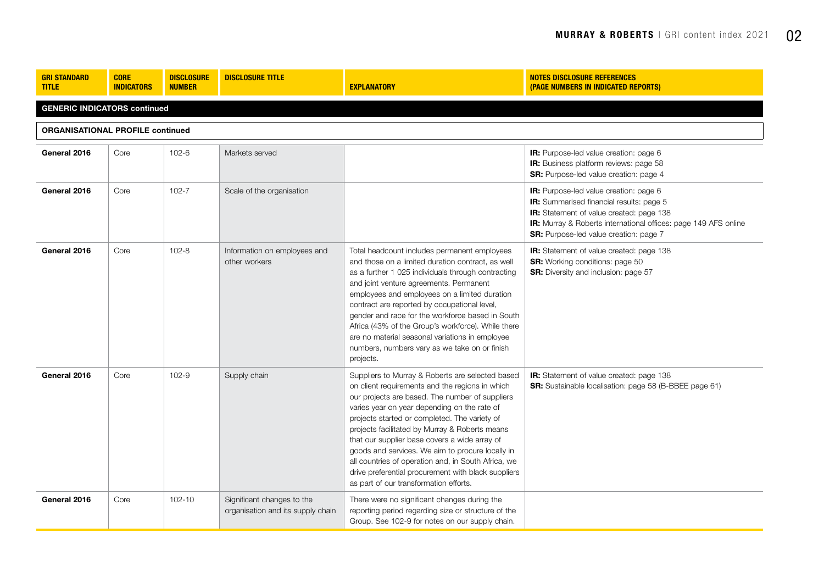| <b>GRI STANDARD</b><br><b>TITLE</b>     | <b>CORE</b><br><b>INDICATORS</b>    | <b>DISCLOSURE</b><br><b>NUMBER</b> | <b>DISCLOSURE TITLE</b>                                         | <b>EXPLANATORY</b>                                                                                                                                                                                                                                                                                                                                                                                                                                                                                                                                                     | <b>NOTES DISCLOSURE REFERENCES</b><br>(PAGE NUMBERS IN INDICATED REPORTS)                                                                                                                                                                   |  |  |  |
|-----------------------------------------|-------------------------------------|------------------------------------|-----------------------------------------------------------------|------------------------------------------------------------------------------------------------------------------------------------------------------------------------------------------------------------------------------------------------------------------------------------------------------------------------------------------------------------------------------------------------------------------------------------------------------------------------------------------------------------------------------------------------------------------------|---------------------------------------------------------------------------------------------------------------------------------------------------------------------------------------------------------------------------------------------|--|--|--|
|                                         | <b>GENERIC INDICATORS continued</b> |                                    |                                                                 |                                                                                                                                                                                                                                                                                                                                                                                                                                                                                                                                                                        |                                                                                                                                                                                                                                             |  |  |  |
| <b>ORGANISATIONAL PROFILE continued</b> |                                     |                                    |                                                                 |                                                                                                                                                                                                                                                                                                                                                                                                                                                                                                                                                                        |                                                                                                                                                                                                                                             |  |  |  |
| General 2016                            | Core                                | $102 - 6$                          | Markets served                                                  |                                                                                                                                                                                                                                                                                                                                                                                                                                                                                                                                                                        | IR: Purpose-led value creation: page 6<br>IR: Business platform reviews: page 58<br>SR: Purpose-led value creation: page 4                                                                                                                  |  |  |  |
| General 2016                            | Core                                | $102 - 7$                          | Scale of the organisation                                       |                                                                                                                                                                                                                                                                                                                                                                                                                                                                                                                                                                        | IR: Purpose-led value creation: page 6<br>IR: Summarised financial results: page 5<br>IR: Statement of value created: page 138<br>IR: Murray & Roberts international offices: page 149 AFS online<br>SR: Purpose-led value creation: page 7 |  |  |  |
| General 2016                            | Core                                | $102 - 8$                          | Information on employees and<br>other workers                   | Total headcount includes permanent employees<br>and those on a limited duration contract, as well<br>as a further 1 025 individuals through contracting<br>and joint venture agreements. Permanent<br>employees and employees on a limited duration<br>contract are reported by occupational level,<br>gender and race for the workforce based in South<br>Africa (43% of the Group's workforce). While there<br>are no material seasonal variations in employee<br>numbers, numbers vary as we take on or finish<br>projects.                                         | IR: Statement of value created: page 138<br><b>SR:</b> Working conditions: page 50<br><b>SR:</b> Diversity and inclusion: page 57                                                                                                           |  |  |  |
| General 2016                            | Core                                | 102-9                              | Supply chain                                                    | Suppliers to Murray & Roberts are selected based<br>on client requirements and the regions in which<br>our projects are based. The number of suppliers<br>varies year on year depending on the rate of<br>projects started or completed. The variety of<br>projects facilitated by Murray & Roberts means<br>that our supplier base covers a wide array of<br>goods and services. We aim to procure locally in<br>all countries of operation and, in South Africa, we<br>drive preferential procurement with black suppliers<br>as part of our transformation efforts. | IR: Statement of value created: page 138<br>SR: Sustainable localisation: page 58 (B-BBEE page 61)                                                                                                                                          |  |  |  |
| General 2016                            | Core                                | $102 - 10$                         | Significant changes to the<br>organisation and its supply chain | There were no significant changes during the<br>reporting period regarding size or structure of the<br>Group. See 102-9 for notes on our supply chain.                                                                                                                                                                                                                                                                                                                                                                                                                 |                                                                                                                                                                                                                                             |  |  |  |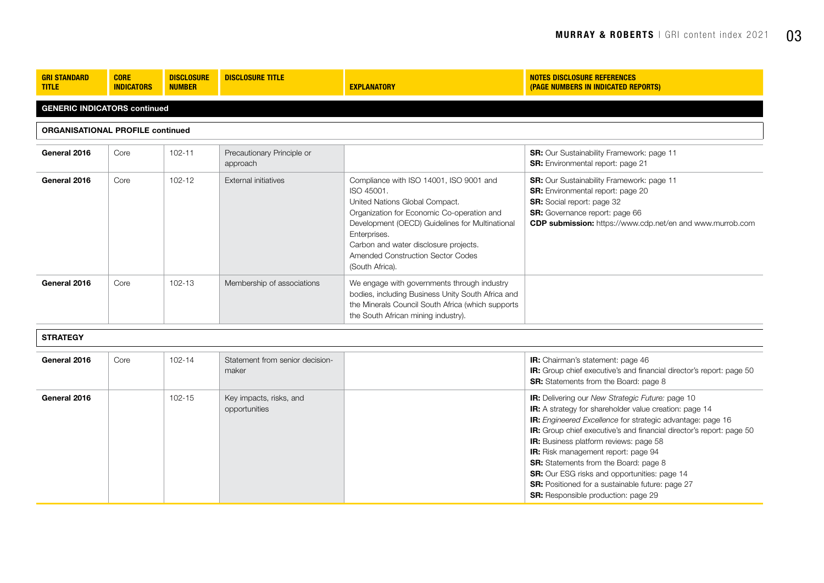| <b>GRI STANDARD</b><br><b>TITLE</b> | <b>CORE</b><br><b>INDICATORS</b>        | <b>DISCLOSURE</b><br><b>NUMBER</b> | <b>DISCLOSURE TITLE</b>                | <b>EXPLANATORY</b>                                                                                                                                                                                                                                                                                        | NOTES DISCLOSURE REFERENCES<br>(PAGE NUMBERS IN INDICATED REPORTS)                                                                                                                                                               |  |  |  |
|-------------------------------------|-----------------------------------------|------------------------------------|----------------------------------------|-----------------------------------------------------------------------------------------------------------------------------------------------------------------------------------------------------------------------------------------------------------------------------------------------------------|----------------------------------------------------------------------------------------------------------------------------------------------------------------------------------------------------------------------------------|--|--|--|
|                                     | <b>GENERIC INDICATORS continued</b>     |                                    |                                        |                                                                                                                                                                                                                                                                                                           |                                                                                                                                                                                                                                  |  |  |  |
|                                     | <b>ORGANISATIONAL PROFILE continued</b> |                                    |                                        |                                                                                                                                                                                                                                                                                                           |                                                                                                                                                                                                                                  |  |  |  |
| General 2016                        | Core                                    | $102 - 11$                         | Precautionary Principle or<br>approach |                                                                                                                                                                                                                                                                                                           | <b>SR:</b> Our Sustainability Framework: page 11<br><b>SR:</b> Environmental report: page 21                                                                                                                                     |  |  |  |
| General 2016                        | Core                                    | $102 - 12$                         | External initiatives                   | Compliance with ISO 14001, ISO 9001 and<br>ISO 45001.<br>United Nations Global Compact.<br>Organization for Economic Co-operation and<br>Development (OECD) Guidelines for Multinational<br>Enterprises.<br>Carbon and water disclosure projects.<br>Amended Construction Sector Codes<br>(South Africa). | <b>SR:</b> Our Sustainability Framework: page 11<br><b>SR:</b> Environmental report: page 20<br><b>SR:</b> Social report: page 32<br>SR: Governance report: page 66<br>CDP submission: https://www.cdp.net/en and www.murrob.com |  |  |  |
| General 2016                        | Core                                    | 102-13                             | Membership of associations             | We engage with governments through industry<br>bodies, including Business Unity South Africa and<br>the Minerals Council South Africa (which supports<br>the South African mining industry).                                                                                                              |                                                                                                                                                                                                                                  |  |  |  |
| <b>STRATEGY</b>                     |                                         |                                    |                                        |                                                                                                                                                                                                                                                                                                           |                                                                                                                                                                                                                                  |  |  |  |

| General 2016 | Core<br>$102 - 14$ | Statement from senior decision-<br>maker | <b>IR:</b> Chairman's statement: page 46<br><b>IR:</b> Group chief executive's and financial director's report: page 50<br><b>SR:</b> Statements from the Board: page 8                                                                                                                                                                                                                                                                                                                                                                                                                     |
|--------------|--------------------|------------------------------------------|---------------------------------------------------------------------------------------------------------------------------------------------------------------------------------------------------------------------------------------------------------------------------------------------------------------------------------------------------------------------------------------------------------------------------------------------------------------------------------------------------------------------------------------------------------------------------------------------|
| General 2016 | $102 - 15$         | Key impacts, risks, and<br>opportunities | <b>IR:</b> Delivering our New Strategic Future: page 10<br><b>IR:</b> A strategy for shareholder value creation: page 14<br><b>IR:</b> Engineered Excellence for strategic advantage: page 16<br><b>IR:</b> Group chief executive's and financial director's report: page 50<br><b>IR:</b> Business platform reviews: page 58<br><b>IR:</b> Risk management report: page 94<br><b>SR:</b> Statements from the Board: page 8<br><b>SR:</b> Our ESG risks and opportunities: page 14<br><b>SR:</b> Positioned for a sustainable future: page 27<br><b>SR:</b> Responsible production: page 29 |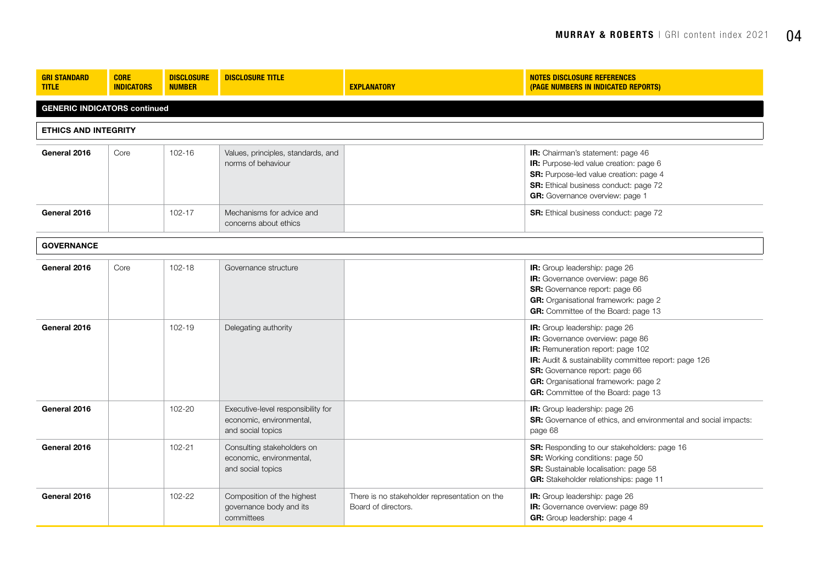| <b>GRI STANDARD</b><br><b>TITLE</b> | <b>CORE</b><br><b>INDICATORS</b>    | <b>DISCLOSURE</b><br><b>NUMBER</b> | <b>DISCLOSURE TITLE</b>                                                             | <b>EXPLANATORY</b>                                                   | <b>NOTES DISCLOSURE REFERENCES</b><br>(PAGE NUMBERS IN INDICATED REPORTS)                                                                                                                                                                                                        |  |  |
|-------------------------------------|-------------------------------------|------------------------------------|-------------------------------------------------------------------------------------|----------------------------------------------------------------------|----------------------------------------------------------------------------------------------------------------------------------------------------------------------------------------------------------------------------------------------------------------------------------|--|--|
|                                     | <b>GENERIC INDICATORS continued</b> |                                    |                                                                                     |                                                                      |                                                                                                                                                                                                                                                                                  |  |  |
| <b>ETHICS AND INTEGRITY</b>         |                                     |                                    |                                                                                     |                                                                      |                                                                                                                                                                                                                                                                                  |  |  |
| General 2016                        | Core                                | $102 - 16$                         | Values, principles, standards, and<br>norms of behaviour                            |                                                                      | IR: Chairman's statement: page 46<br>IR: Purpose-led value creation: page 6<br>SR: Purpose-led value creation: page 4<br>SR: Ethical business conduct: page 72<br>GR: Governance overview: page 1                                                                                |  |  |
| General 2016                        |                                     | $102 - 17$                         | Mechanisms for advice and<br>concerns about ethics                                  |                                                                      | <b>SR:</b> Ethical business conduct: page 72                                                                                                                                                                                                                                     |  |  |
| <b>GOVERNANCE</b>                   |                                     |                                    |                                                                                     |                                                                      |                                                                                                                                                                                                                                                                                  |  |  |
| General 2016                        | Core                                | $102 - 18$                         | Governance structure                                                                |                                                                      | IR: Group leadership: page 26<br>IR: Governance overview: page 86<br>SR: Governance report: page 66<br>GR: Organisational framework: page 2<br>GR: Committee of the Board: page 13                                                                                               |  |  |
| General 2016                        |                                     | $102 - 19$                         | Delegating authority                                                                |                                                                      | IR: Group leadership: page 26<br>IR: Governance overview: page 86<br>IR: Remuneration report: page 102<br>IR: Audit & sustainability committee report: page 126<br>SR: Governance report: page 66<br>GR: Organisational framework: page 2<br>GR: Committee of the Board: page 13 |  |  |
| General 2016                        |                                     | 102-20                             | Executive-level responsibility for<br>economic, environmental,<br>and social topics |                                                                      | IR: Group leadership: page 26<br>SR: Governance of ethics, and environmental and social impacts:<br>page 68                                                                                                                                                                      |  |  |
| General 2016                        |                                     | 102-21                             | Consulting stakeholders on<br>economic, environmental,<br>and social topics         |                                                                      | SR: Responding to our stakeholders: page 16<br>SR: Working conditions: page 50<br>SR: Sustainable localisation: page 58<br>GR: Stakeholder relationships: page 11                                                                                                                |  |  |
| General 2016                        |                                     | 102-22                             | Composition of the highest<br>governance body and its<br>committees                 | There is no stakeholder representation on the<br>Board of directors. | IR: Group leadership: page 26<br>IR: Governance overview: page 89<br>GR: Group leadership: page 4                                                                                                                                                                                |  |  |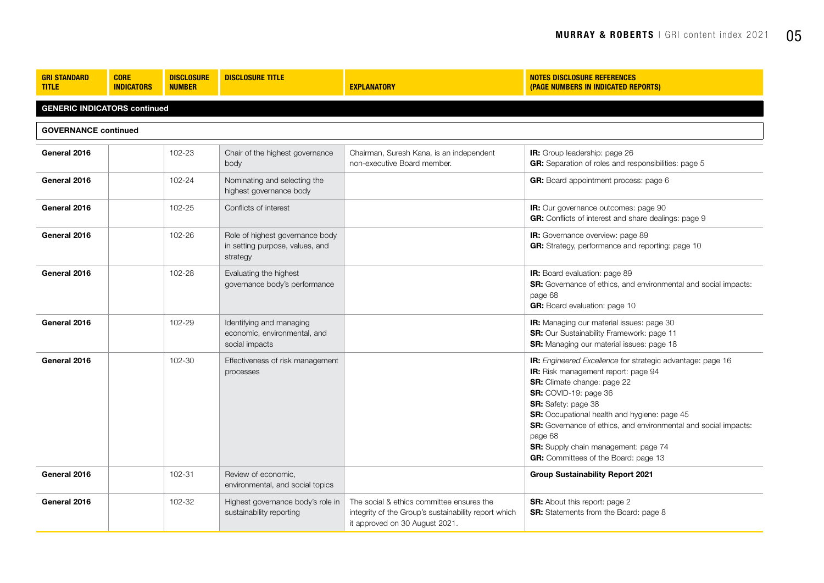| <b>GRI STANDARD</b><br><b>TITLE</b> | <b>CORE</b><br><b>INDICATORS</b>    | <b>DISCLOSURE</b><br><b>NUMBER</b> | <b>DISCLOSURE TITLE</b>                                                        | <b>EXPLANATORY</b>                                                                                                                  | <b>NOTES DISCLOSURE REFERENCES</b><br>(PAGE NUMBERS IN INDICATED REPORTS)                                                                                                                                                                                                                                                                                                                      |  |  |  |
|-------------------------------------|-------------------------------------|------------------------------------|--------------------------------------------------------------------------------|-------------------------------------------------------------------------------------------------------------------------------------|------------------------------------------------------------------------------------------------------------------------------------------------------------------------------------------------------------------------------------------------------------------------------------------------------------------------------------------------------------------------------------------------|--|--|--|
|                                     | <b>GENERIC INDICATORS continued</b> |                                    |                                                                                |                                                                                                                                     |                                                                                                                                                                                                                                                                                                                                                                                                |  |  |  |
| <b>GOVERNANCE continued</b>         |                                     |                                    |                                                                                |                                                                                                                                     |                                                                                                                                                                                                                                                                                                                                                                                                |  |  |  |
| General 2016                        |                                     | 102-23                             | Chair of the highest governance<br>body                                        | Chairman, Suresh Kana, is an independent<br>non-executive Board member.                                                             | IR: Group leadership: page 26<br>GR: Separation of roles and responsibilities: page 5                                                                                                                                                                                                                                                                                                          |  |  |  |
| General 2016                        |                                     | 102-24                             | Nominating and selecting the<br>highest governance body                        |                                                                                                                                     | GR: Board appointment process: page 6                                                                                                                                                                                                                                                                                                                                                          |  |  |  |
| General 2016                        |                                     | 102-25                             | Conflicts of interest                                                          |                                                                                                                                     | IR: Our governance outcomes: page 90<br>GR: Conflicts of interest and share dealings: page 9                                                                                                                                                                                                                                                                                                   |  |  |  |
| General 2016                        |                                     | 102-26                             | Role of highest governance body<br>in setting purpose, values, and<br>strategy |                                                                                                                                     | IR: Governance overview: page 89<br>GR: Strategy, performance and reporting: page 10                                                                                                                                                                                                                                                                                                           |  |  |  |
| General 2016                        |                                     | 102-28                             | Evaluating the highest<br>governance body's performance                        |                                                                                                                                     | IR: Board evaluation: page 89<br>SR: Governance of ethics, and environmental and social impacts:<br>page 68<br><b>GR:</b> Board evaluation: page 10                                                                                                                                                                                                                                            |  |  |  |
| General 2016                        |                                     | 102-29                             | Identifying and managing<br>economic, environmental, and<br>social impacts     |                                                                                                                                     | IR: Managing our material issues: page 30<br>SR: Our Sustainability Framework: page 11<br>SR: Managing our material issues: page 18                                                                                                                                                                                                                                                            |  |  |  |
| General 2016                        |                                     | 102-30                             | Effectiveness of risk management<br>processes                                  |                                                                                                                                     | IR: Engineered Excellence for strategic advantage: page 16<br>IR: Risk management report: page 94<br>SR: Climate change: page 22<br>SR: COVID-19: page 36<br>SR: Safety: page 38<br>SR: Occupational health and hygiene: page 45<br>SR: Governance of ethics, and environmental and social impacts:<br>page 68<br>SR: Supply chain management: page 74<br>GR: Committees of the Board: page 13 |  |  |  |
| General 2016                        |                                     | 102-31                             | Review of economic.<br>environmental, and social topics                        |                                                                                                                                     | <b>Group Sustainability Report 2021</b>                                                                                                                                                                                                                                                                                                                                                        |  |  |  |
| General 2016                        |                                     | 102-32                             | Highest governance body's role in<br>sustainability reporting                  | The social & ethics committee ensures the<br>integrity of the Group's sustainability report which<br>it approved on 30 August 2021. | <b>SR:</b> About this report: page 2<br>SR: Statements from the Board: page 8                                                                                                                                                                                                                                                                                                                  |  |  |  |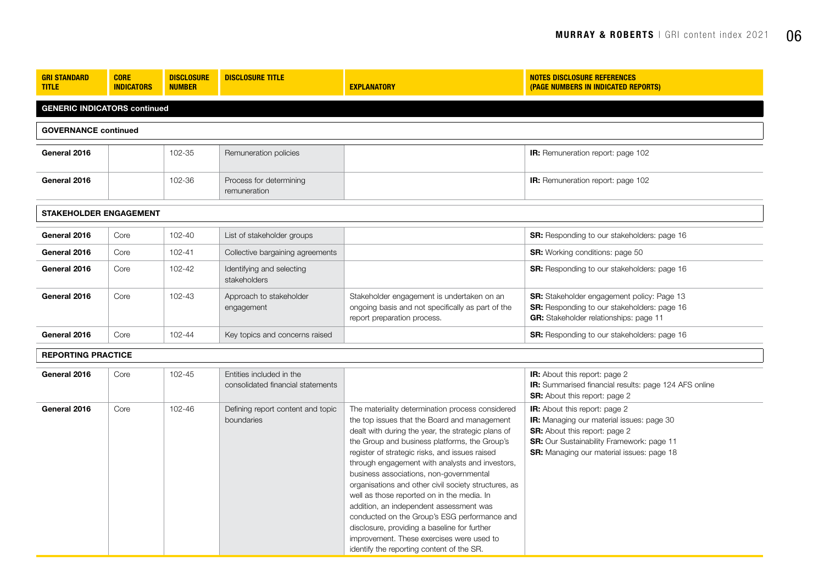| <b>GRI STANDARD</b><br><b>TITLE</b> | <b>CORE</b><br><b>INDICATORS</b>    | <b>DISCLOSURE</b><br><b>NUMBER</b> | <b>DISCLOSURE TITLE</b>                                       | <b>EXPLANATORY</b>                                                                                                                                                                                                                                                                                                                                                                                                                                                                                                                                                                                                                                                                                 | <b>NOTES DISCLOSURE REFERENCES</b><br>(PAGE NUMBERS IN INDICATED REPORTS)                                                                                                                                                  |  |  |  |
|-------------------------------------|-------------------------------------|------------------------------------|---------------------------------------------------------------|----------------------------------------------------------------------------------------------------------------------------------------------------------------------------------------------------------------------------------------------------------------------------------------------------------------------------------------------------------------------------------------------------------------------------------------------------------------------------------------------------------------------------------------------------------------------------------------------------------------------------------------------------------------------------------------------------|----------------------------------------------------------------------------------------------------------------------------------------------------------------------------------------------------------------------------|--|--|--|
|                                     | <b>GENERIC INDICATORS continued</b> |                                    |                                                               |                                                                                                                                                                                                                                                                                                                                                                                                                                                                                                                                                                                                                                                                                                    |                                                                                                                                                                                                                            |  |  |  |
| <b>GOVERNANCE continued</b>         |                                     |                                    |                                                               |                                                                                                                                                                                                                                                                                                                                                                                                                                                                                                                                                                                                                                                                                                    |                                                                                                                                                                                                                            |  |  |  |
| General 2016                        |                                     | 102-35                             | Remuneration policies                                         |                                                                                                                                                                                                                                                                                                                                                                                                                                                                                                                                                                                                                                                                                                    | <b>IR:</b> Remuneration report: page 102                                                                                                                                                                                   |  |  |  |
| General 2016                        |                                     | 102-36                             | Process for determining<br>remuneration                       |                                                                                                                                                                                                                                                                                                                                                                                                                                                                                                                                                                                                                                                                                                    | <b>IR:</b> Remuneration report: page 102                                                                                                                                                                                   |  |  |  |
| <b>STAKEHOLDER ENGAGEMENT</b>       |                                     |                                    |                                                               |                                                                                                                                                                                                                                                                                                                                                                                                                                                                                                                                                                                                                                                                                                    |                                                                                                                                                                                                                            |  |  |  |
| General 2016                        | Core                                | 102-40                             | List of stakeholder groups                                    |                                                                                                                                                                                                                                                                                                                                                                                                                                                                                                                                                                                                                                                                                                    | <b>SR:</b> Responding to our stakeholders: page 16                                                                                                                                                                         |  |  |  |
| General 2016                        | Core                                | 102-41                             | Collective bargaining agreements                              |                                                                                                                                                                                                                                                                                                                                                                                                                                                                                                                                                                                                                                                                                                    | <b>SR:</b> Working conditions: page 50                                                                                                                                                                                     |  |  |  |
| General 2016                        | Core                                | 102-42                             | Identifying and selecting<br>stakeholders                     |                                                                                                                                                                                                                                                                                                                                                                                                                                                                                                                                                                                                                                                                                                    | <b>SR:</b> Responding to our stakeholders: page 16                                                                                                                                                                         |  |  |  |
| General 2016                        | Core                                | 102-43                             | Approach to stakeholder<br>engagement                         | Stakeholder engagement is undertaken on an<br>ongoing basis and not specifically as part of the<br>report preparation process.                                                                                                                                                                                                                                                                                                                                                                                                                                                                                                                                                                     | SR: Stakeholder engagement policy: Page 13<br><b>SR:</b> Responding to our stakeholders: page 16<br><b>GR:</b> Stakeholder relationships: page 11                                                                          |  |  |  |
| General 2016                        | Core                                | 102-44                             | Key topics and concerns raised                                |                                                                                                                                                                                                                                                                                                                                                                                                                                                                                                                                                                                                                                                                                                    | <b>SR:</b> Responding to our stakeholders: page 16                                                                                                                                                                         |  |  |  |
| <b>REPORTING PRACTICE</b>           |                                     |                                    |                                                               |                                                                                                                                                                                                                                                                                                                                                                                                                                                                                                                                                                                                                                                                                                    |                                                                                                                                                                                                                            |  |  |  |
| General 2016                        | Core                                | 102-45                             | Entities included in the<br>consolidated financial statements |                                                                                                                                                                                                                                                                                                                                                                                                                                                                                                                                                                                                                                                                                                    | <b>IR:</b> About this report: page 2<br>IR: Summarised financial results: page 124 AFS online<br><b>SR:</b> About this report: page 2                                                                                      |  |  |  |
| General 2016                        | Core                                | 102-46                             | Defining report content and topic<br>boundaries               | The materiality determination process considered<br>the top issues that the Board and management<br>dealt with during the year, the strategic plans of<br>the Group and business platforms, the Group's<br>register of strategic risks, and issues raised<br>through engagement with analysts and investors,<br>business associations, non-governmental<br>organisations and other civil society structures, as<br>well as those reported on in the media. In<br>addition, an independent assessment was<br>conducted on the Group's ESG performance and<br>disclosure, providing a baseline for further<br>improvement. These exercises were used to<br>identify the reporting content of the SR. | IR: About this report: page 2<br><b>IR:</b> Managing our material issues: page 30<br><b>SR:</b> About this report: page 2<br>SR: Our Sustainability Framework: page 11<br><b>SR:</b> Managing our material issues: page 18 |  |  |  |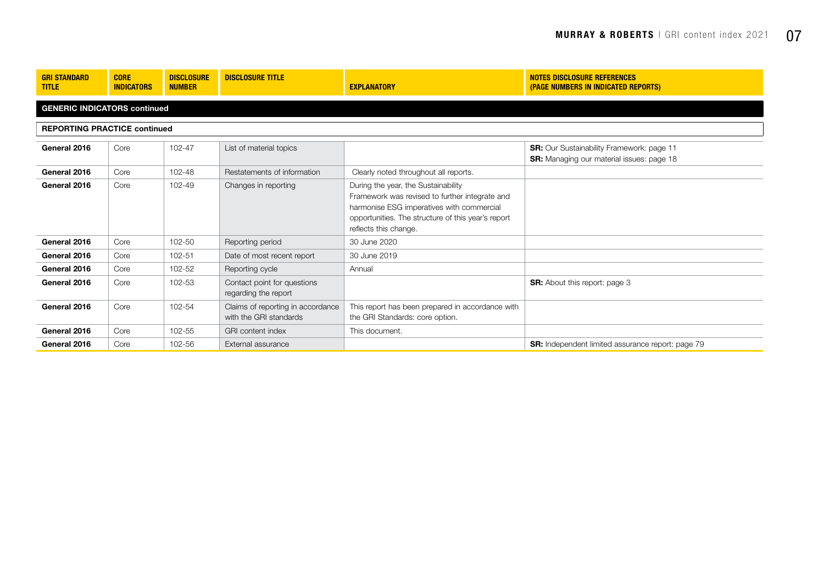| <b>GRI STANDARD</b><br><b>TITLE</b> | <b>CORE</b><br><b>INDICATORS</b>    | <b>DISCLOSURE</b><br><b>NUMBER</b> | <b>DISCLOSURE TITLE</b>                                     | <b>EXPLANATORY</b>                                                                                                                                                                                                | <b>NOTES DISCLOSURE REFERENCES</b><br>(PAGE NUMBERS IN INDICATED REPORTS)                            |  |  |  |
|-------------------------------------|-------------------------------------|------------------------------------|-------------------------------------------------------------|-------------------------------------------------------------------------------------------------------------------------------------------------------------------------------------------------------------------|------------------------------------------------------------------------------------------------------|--|--|--|
|                                     | <b>GENERIC INDICATORS continued</b> |                                    |                                                             |                                                                                                                                                                                                                   |                                                                                                      |  |  |  |
| <b>REPORTING PRACTICE continued</b> |                                     |                                    |                                                             |                                                                                                                                                                                                                   |                                                                                                      |  |  |  |
| General 2016                        | Core                                | 102-47                             | List of material topics                                     |                                                                                                                                                                                                                   | <b>SR:</b> Our Sustainability Framework: page 11<br><b>SR:</b> Managing our material issues: page 18 |  |  |  |
| General 2016                        | Core                                | 102-48                             | Restatements of information                                 | Clearly noted throughout all reports.                                                                                                                                                                             |                                                                                                      |  |  |  |
| General 2016                        | Core                                | 102-49                             | Changes in reporting                                        | During the year, the Sustainability<br>Framework was revised to further integrate and<br>harmonise ESG imperatives with commercial<br>opportunities. The structure of this year's report<br>reflects this change. |                                                                                                      |  |  |  |
| General 2016                        | Core                                | 102-50                             | Reporting period                                            | 30 June 2020                                                                                                                                                                                                      |                                                                                                      |  |  |  |
| General 2016                        | Core                                | 102-51                             | Date of most recent report                                  | 30 June 2019                                                                                                                                                                                                      |                                                                                                      |  |  |  |
| General 2016                        | Core                                | 102-52                             | Reporting cycle                                             | Annual                                                                                                                                                                                                            |                                                                                                      |  |  |  |
| General 2016                        | Core                                | 102-53                             | Contact point for questions<br>regarding the report         |                                                                                                                                                                                                                   | <b>SR:</b> About this report: page 3                                                                 |  |  |  |
| General 2016                        | Core                                | 102-54                             | Claims of reporting in accordance<br>with the GRI standards | This report has been prepared in accordance with<br>the GRI Standards: core option.                                                                                                                               |                                                                                                      |  |  |  |
| General 2016                        | Core                                | 102-55                             | <b>GRI</b> content index                                    | This document.                                                                                                                                                                                                    |                                                                                                      |  |  |  |
| General 2016                        | Core                                | 102-56                             | External assurance                                          |                                                                                                                                                                                                                   | <b>SR:</b> Independent limited assurance report: page 79                                             |  |  |  |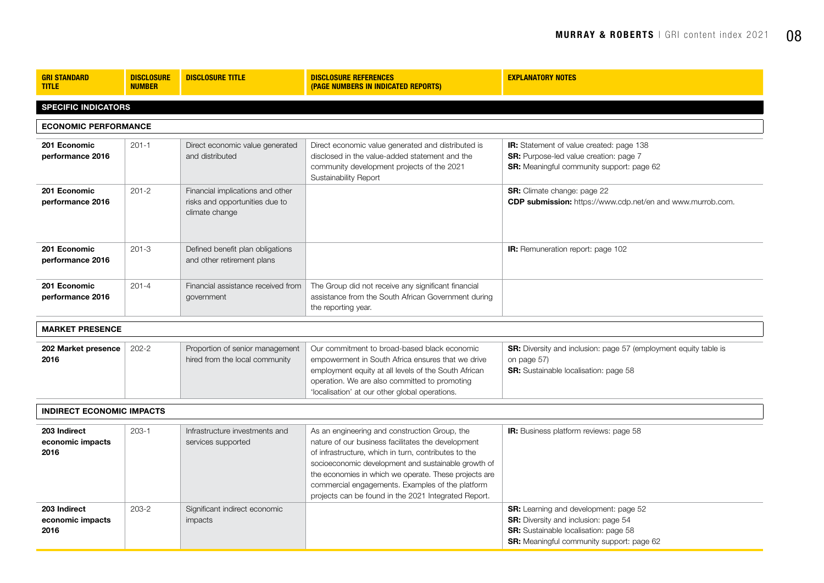| <b>GRI STANDARD</b><br><b>TITLE</b>      | <b>DISCLOSURE</b><br><b>NUMBER</b> | <b>DISCLOSURE TITLE</b>                                                              | <b>DISCLOSURE REFERENCES</b><br>(PAGE NUMBERS IN INDICATED REPORTS)                                                                                                                                                                                                                                                                                                                     | <b>EXPLANATORY NOTES</b>                                                                                                                                                          |
|------------------------------------------|------------------------------------|--------------------------------------------------------------------------------------|-----------------------------------------------------------------------------------------------------------------------------------------------------------------------------------------------------------------------------------------------------------------------------------------------------------------------------------------------------------------------------------------|-----------------------------------------------------------------------------------------------------------------------------------------------------------------------------------|
| <b>SPECIFIC INDICATORS</b>               |                                    |                                                                                      |                                                                                                                                                                                                                                                                                                                                                                                         |                                                                                                                                                                                   |
| <b>ECONOMIC PERFORMANCE</b>              |                                    |                                                                                      |                                                                                                                                                                                                                                                                                                                                                                                         |                                                                                                                                                                                   |
| 201 Economic<br>performance 2016         | $201 - 1$                          | Direct economic value generated<br>and distributed                                   | Direct economic value generated and distributed is<br>disclosed in the value-added statement and the<br>community development projects of the 2021<br>Sustainability Report                                                                                                                                                                                                             | IR: Statement of value created: page 138<br><b>SR:</b> Purpose-led value creation: page 7<br>SR: Meaningful community support: page 62                                            |
| 201 Economic<br>performance 2016         | $201 - 2$                          | Financial implications and other<br>risks and opportunities due to<br>climate change |                                                                                                                                                                                                                                                                                                                                                                                         | SR: Climate change: page 22<br>CDP submission: https://www.cdp.net/en and www.murrob.com.                                                                                         |
| 201 Economic<br>performance 2016         | $201 - 3$                          | Defined benefit plan obligations<br>and other retirement plans                       |                                                                                                                                                                                                                                                                                                                                                                                         | <b>IR:</b> Remuneration report: page 102                                                                                                                                          |
| 201 Economic<br>performance 2016         | $201 - 4$                          | Financial assistance received from<br>government                                     | The Group did not receive any significant financial<br>assistance from the South African Government during<br>the reporting year.                                                                                                                                                                                                                                                       |                                                                                                                                                                                   |
| <b>MARKET PRESENCE</b>                   |                                    |                                                                                      |                                                                                                                                                                                                                                                                                                                                                                                         |                                                                                                                                                                                   |
| 202 Market presence<br>2016              | $202 - 2$                          | Proportion of senior management<br>hired from the local community                    | Our commitment to broad-based black economic<br>empowerment in South Africa ensures that we drive<br>employment equity at all levels of the South African<br>operation. We are also committed to promoting<br>'localisation' at our other global operations.                                                                                                                            | SR: Diversity and inclusion: page 57 (employment equity table is<br>on page 57)<br>SR: Sustainable localisation: page 58                                                          |
| <b>INDIRECT ECONOMIC IMPACTS</b>         |                                    |                                                                                      |                                                                                                                                                                                                                                                                                                                                                                                         |                                                                                                                                                                                   |
| 203 Indirect<br>economic impacts<br>2016 | $203 - 1$                          | Infrastructure investments and<br>services supported                                 | As an engineering and construction Group, the<br>nature of our business facilitates the development<br>of infrastructure, which in turn, contributes to the<br>socioeconomic development and sustainable growth of<br>the economies in which we operate. These projects are<br>commercial engagements. Examples of the platform<br>projects can be found in the 2021 Integrated Report. | IR: Business platform reviews: page 58                                                                                                                                            |
| 203 Indirect<br>economic impacts<br>2016 | $203 - 2$                          | Significant indirect economic<br>impacts                                             |                                                                                                                                                                                                                                                                                                                                                                                         | <b>SR:</b> Learning and development: page 52<br>SR: Diversity and inclusion: page 54<br>SR: Sustainable localisation: page 58<br><b>SR:</b> Meaningful community support: page 62 |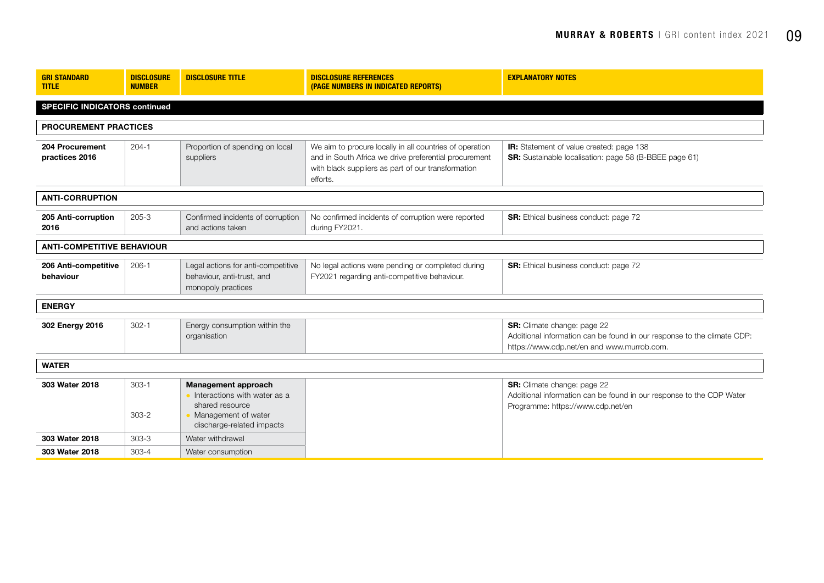| <b>GRI STANDARD</b><br><b>TITLE</b>  | <b>DISCLOSURE</b><br><b>NUMBER</b> | <b>DISCLOSURE TITLE</b>                                                                                                    | <b>DISCLOSURE REFERENCES</b><br>(PAGE NUMBERS IN INDICATED REPORTS)                                                                                                                | <b>EXPLANATORY NOTES</b>                                                                                                                             |
|--------------------------------------|------------------------------------|----------------------------------------------------------------------------------------------------------------------------|------------------------------------------------------------------------------------------------------------------------------------------------------------------------------------|------------------------------------------------------------------------------------------------------------------------------------------------------|
| <b>SPECIFIC INDICATORS continued</b> |                                    |                                                                                                                            |                                                                                                                                                                                    |                                                                                                                                                      |
| <b>PROCUREMENT PRACTICES</b>         |                                    |                                                                                                                            |                                                                                                                                                                                    |                                                                                                                                                      |
| 204 Procurement<br>practices 2016    | $204 - 1$                          | Proportion of spending on local<br>suppliers                                                                               | We aim to procure locally in all countries of operation<br>and in South Africa we drive preferential procurement<br>with black suppliers as part of our transformation<br>efforts. | <b>IR:</b> Statement of value created: page 138<br>SR: Sustainable localisation: page 58 (B-BBEE page 61)                                            |
| <b>ANTI-CORRUPTION</b>               |                                    |                                                                                                                            |                                                                                                                                                                                    |                                                                                                                                                      |
| 205 Anti-corruption<br>2016          | $205 - 3$                          | Confirmed incidents of corruption<br>and actions taken                                                                     | No confirmed incidents of corruption were reported<br>during FY2021.                                                                                                               | <b>SR:</b> Ethical business conduct: page 72                                                                                                         |
| <b>ANTI-COMPETITIVE BEHAVIOUR</b>    |                                    |                                                                                                                            |                                                                                                                                                                                    |                                                                                                                                                      |
| 206 Anti-competitive<br>behaviour    | $206-1$                            | Legal actions for anti-competitive<br>behaviour, anti-trust, and<br>monopoly practices                                     | No legal actions were pending or completed during<br>FY2021 regarding anti-competitive behaviour.                                                                                  | <b>SR:</b> Ethical business conduct: page 72                                                                                                         |
| <b>ENERGY</b>                        |                                    |                                                                                                                            |                                                                                                                                                                                    |                                                                                                                                                      |
| 302 Energy 2016                      | $302 - 1$                          | Energy consumption within the<br>organisation                                                                              |                                                                                                                                                                                    | SR: Climate change: page 22<br>Additional information can be found in our response to the climate CDP:<br>https://www.cdp.net/en and www.murrob.com. |
| <b>WATER</b>                         |                                    |                                                                                                                            |                                                                                                                                                                                    |                                                                                                                                                      |
| 303 Water 2018                       | $303 - 1$<br>$303 - 2$             | Management approach<br>lnteractions with water as a<br>shared resource<br>Management of water<br>discharge-related impacts |                                                                                                                                                                                    | <b>SR:</b> Climate change: page 22<br>Additional information can be found in our response to the CDP Water<br>Programme: https://www.cdp.net/en      |
| 303 Water 2018                       | $303 - 3$                          | Water withdrawal                                                                                                           |                                                                                                                                                                                    |                                                                                                                                                      |
| 303 Water 2018                       | $303 - 4$                          | Water consumption                                                                                                          |                                                                                                                                                                                    |                                                                                                                                                      |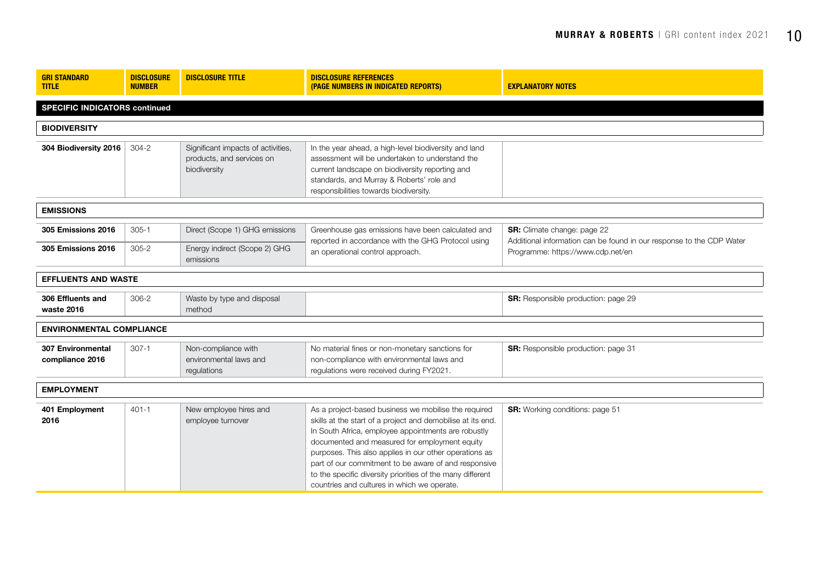| <b>GRI STANDARD</b><br><b>TITLE</b>         | <b>DISCLOSURE</b><br><b>NUMBER</b> | <b>DISCLOSURE TITLE</b>                                                         | <b>DISCLOSURE REFERENCES</b><br>(PAGE NUMBERS IN INDICATED REPORTS)                                                                                                                                                                                                                                                                                                                                                                                        | <b>EXPLANATORY NOTES</b>                                                                                   |  |
|---------------------------------------------|------------------------------------|---------------------------------------------------------------------------------|------------------------------------------------------------------------------------------------------------------------------------------------------------------------------------------------------------------------------------------------------------------------------------------------------------------------------------------------------------------------------------------------------------------------------------------------------------|------------------------------------------------------------------------------------------------------------|--|
| <b>SPECIFIC INDICATORS continued</b>        |                                    |                                                                                 |                                                                                                                                                                                                                                                                                                                                                                                                                                                            |                                                                                                            |  |
| <b>BIODIVERSITY</b>                         |                                    |                                                                                 |                                                                                                                                                                                                                                                                                                                                                                                                                                                            |                                                                                                            |  |
| 304 Biodiversity 2016                       | $304 - 2$                          | Significant impacts of activities,<br>products, and services on<br>biodiversity | In the year ahead, a high-level biodiversity and land<br>assessment will be undertaken to understand the<br>current landscape on biodiversity reporting and<br>standards, and Murray & Roberts' role and<br>responsibilities towards biodiversity.                                                                                                                                                                                                         |                                                                                                            |  |
| <b>EMISSIONS</b>                            |                                    |                                                                                 |                                                                                                                                                                                                                                                                                                                                                                                                                                                            |                                                                                                            |  |
| 305 Emissions 2016                          | $305 - 1$                          | Direct (Scope 1) GHG emissions                                                  | Greenhouse gas emissions have been calculated and<br>reported in accordance with the GHG Protocol using                                                                                                                                                                                                                                                                                                                                                    | <b>SR:</b> Climate change: page 22<br>Additional information can be found in our response to the CDP Water |  |
| 305 Emissions 2016                          | $305 - 2$                          | Energy indirect (Scope 2) GHG<br>emissions                                      | an operational control approach.                                                                                                                                                                                                                                                                                                                                                                                                                           | Programme: https://www.cdp.net/en                                                                          |  |
| <b>EFFLUENTS AND WASTE</b>                  |                                    |                                                                                 |                                                                                                                                                                                                                                                                                                                                                                                                                                                            |                                                                                                            |  |
| 306 Effluents and<br>waste 2016             | $306 - 2$                          | Waste by type and disposal<br>method                                            |                                                                                                                                                                                                                                                                                                                                                                                                                                                            | SR: Responsible production: page 29                                                                        |  |
| <b>ENVIRONMENTAL COMPLIANCE</b>             |                                    |                                                                                 |                                                                                                                                                                                                                                                                                                                                                                                                                                                            |                                                                                                            |  |
| <b>307 Environmental</b><br>compliance 2016 | $307 - 1$                          | Non-compliance with<br>environmental laws and<br>regulations                    | No material fines or non-monetary sanctions for<br>non-compliance with environmental laws and<br>requlations were received during FY2021.                                                                                                                                                                                                                                                                                                                  | SR: Responsible production: page 31                                                                        |  |
| <b>EMPLOYMENT</b>                           |                                    |                                                                                 |                                                                                                                                                                                                                                                                                                                                                                                                                                                            |                                                                                                            |  |
| 401 Employment<br>2016                      | $401 - 1$                          | New employee hires and<br>employee turnover                                     | As a project-based business we mobilise the required<br>skills at the start of a project and demobilise at its end.<br>In South Africa, employee appointments are robustly<br>documented and measured for employment equity<br>purposes. This also applies in our other operations as<br>part of our commitment to be aware of and responsive<br>to the specific diversity priorities of the many different<br>countries and cultures in which we operate. | <b>SR:</b> Working conditions: page 51                                                                     |  |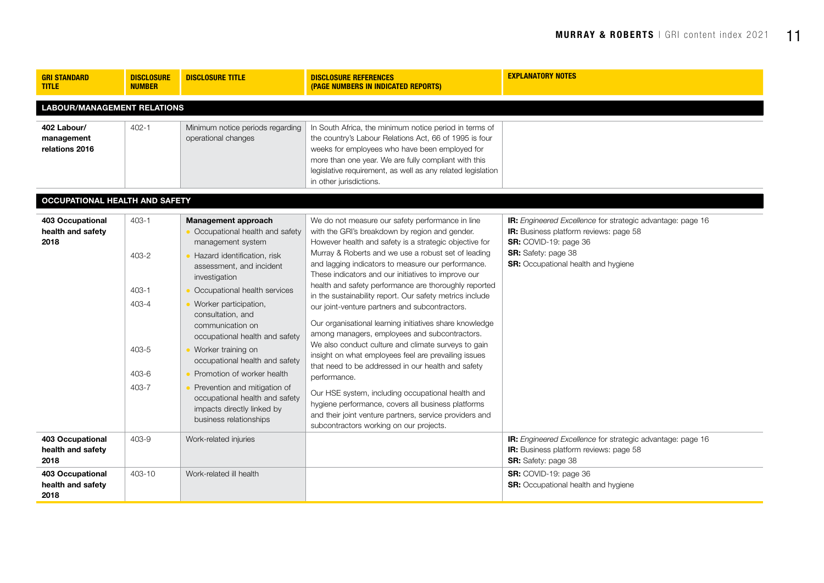| <b>GRI STANDARD</b><br><b>TITLE</b>           | <b>DISCLOSURE</b><br><b>NUMBER</b>                                      | <b>DISCLOSURE TITLE</b>                                                                                                                                                                                                                                                                                                                                                                                                                                                                                           | <b>DISCLOSURE REFERENCES</b><br>(PAGE NUMBERS IN INDICATED REPORTS)                                                                                                                                                                                                                                                                                                                                                                                                                                                                                                                                                                                                                                                                                                                                                                                                                                                                                                                                                       | <b>EXPLANATORY NOTES</b>                                                                                                                                                                           |  |  |  |  |  |
|-----------------------------------------------|-------------------------------------------------------------------------|-------------------------------------------------------------------------------------------------------------------------------------------------------------------------------------------------------------------------------------------------------------------------------------------------------------------------------------------------------------------------------------------------------------------------------------------------------------------------------------------------------------------|---------------------------------------------------------------------------------------------------------------------------------------------------------------------------------------------------------------------------------------------------------------------------------------------------------------------------------------------------------------------------------------------------------------------------------------------------------------------------------------------------------------------------------------------------------------------------------------------------------------------------------------------------------------------------------------------------------------------------------------------------------------------------------------------------------------------------------------------------------------------------------------------------------------------------------------------------------------------------------------------------------------------------|----------------------------------------------------------------------------------------------------------------------------------------------------------------------------------------------------|--|--|--|--|--|
|                                               | <b>LABOUR/MANAGEMENT RELATIONS</b>                                      |                                                                                                                                                                                                                                                                                                                                                                                                                                                                                                                   |                                                                                                                                                                                                                                                                                                                                                                                                                                                                                                                                                                                                                                                                                                                                                                                                                                                                                                                                                                                                                           |                                                                                                                                                                                                    |  |  |  |  |  |
| 402 Labour/<br>management<br>relations 2016   | $402 - 1$                                                               | Minimum notice periods regarding<br>operational changes                                                                                                                                                                                                                                                                                                                                                                                                                                                           | In South Africa, the minimum notice period in terms of<br>the country's Labour Relations Act, 66 of 1995 is four<br>weeks for employees who have been employed for<br>more than one year. We are fully compliant with this<br>legislative requirement, as well as any related legislation<br>in other jurisdictions.                                                                                                                                                                                                                                                                                                                                                                                                                                                                                                                                                                                                                                                                                                      |                                                                                                                                                                                                    |  |  |  |  |  |
| <b>OCCUPATIONAL HEALTH AND SAFETY</b>         |                                                                         |                                                                                                                                                                                                                                                                                                                                                                                                                                                                                                                   |                                                                                                                                                                                                                                                                                                                                                                                                                                                                                                                                                                                                                                                                                                                                                                                                                                                                                                                                                                                                                           |                                                                                                                                                                                                    |  |  |  |  |  |
| 403 Occupational<br>health and safety<br>2018 | $403 - 1$<br>$403 - 2$<br>$403 - 1$<br>403-4<br>403-5<br>403-6<br>403-7 | <b>Management approach</b><br>Occupational health and safety<br>management system<br>Hazard identification, risk<br>assessment, and incident<br>investigation<br>Occupational health services<br>Worker participation,<br>consultation, and<br>communication on<br>occupational health and safety<br>Worker training on<br>occupational health and safety<br>Promotion of worker health<br>Prevention and mitigation of<br>occupational health and safety<br>impacts directly linked by<br>business relationships | We do not measure our safety performance in line<br>with the GRI's breakdown by region and gender.<br>However health and safety is a strategic objective for<br>Murray & Roberts and we use a robust set of leading<br>and lagging indicators to measure our performance.<br>These indicators and our initiatives to improve our<br>health and safety performance are thoroughly reported<br>in the sustainability report. Our safety metrics include<br>our joint-venture partners and subcontractors.<br>Our organisational learning initiatives share knowledge<br>among managers, employees and subcontractors.<br>We also conduct culture and climate surveys to gain<br>insight on what employees feel are prevailing issues<br>that need to be addressed in our health and safety<br>performance.<br>Our HSE system, including occupational health and<br>hygiene performance, covers all business platforms<br>and their joint venture partners, service providers and<br>subcontractors working on our projects. | IR: Engineered Excellence for strategic advantage: page 16<br>IR: Business platform reviews: page 58<br>SR: COVID-19: page 36<br><b>SR:</b> Safety: page 38<br>SR: Occupational health and hygiene |  |  |  |  |  |
| 403 Occupational<br>health and safety<br>2018 | 403-9                                                                   | Work-related injuries                                                                                                                                                                                                                                                                                                                                                                                                                                                                                             |                                                                                                                                                                                                                                                                                                                                                                                                                                                                                                                                                                                                                                                                                                                                                                                                                                                                                                                                                                                                                           | IR: Engineered Excellence for strategic advantage: page 16<br><b>IR:</b> Business platform reviews: page 58<br>SR: Safety: page 38                                                                 |  |  |  |  |  |
| 403 Occupational<br>health and safety<br>2018 | 403-10                                                                  | Work-related ill health                                                                                                                                                                                                                                                                                                                                                                                                                                                                                           |                                                                                                                                                                                                                                                                                                                                                                                                                                                                                                                                                                                                                                                                                                                                                                                                                                                                                                                                                                                                                           | SR: COVID-19: page 36<br>SR: Occupational health and hygiene                                                                                                                                       |  |  |  |  |  |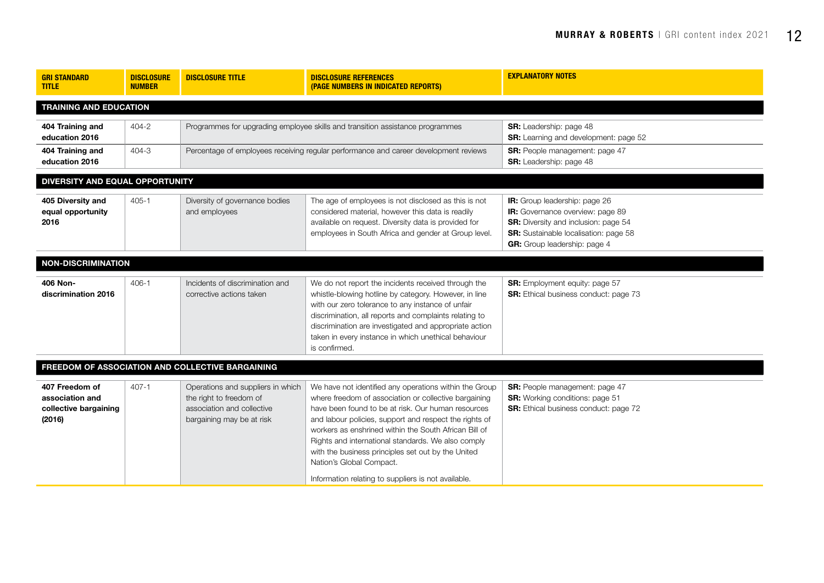| <b>GRI STANDARD</b><br><b>TITLE</b>                                  | <b>DISCLOSURE</b><br><b>NUMBER</b> | <b>DISCLOSURE TITLE</b>                                                                                                 | <b>DISCLOSURE REFERENCES</b><br>(PAGE NUMBERS IN INDICATED REPORTS)                                                                                                                                                                                                                                                                                                                                                              | <b>EXPLANATORY NOTES</b>                                                                                                                                                                  |  |  |  |
|----------------------------------------------------------------------|------------------------------------|-------------------------------------------------------------------------------------------------------------------------|----------------------------------------------------------------------------------------------------------------------------------------------------------------------------------------------------------------------------------------------------------------------------------------------------------------------------------------------------------------------------------------------------------------------------------|-------------------------------------------------------------------------------------------------------------------------------------------------------------------------------------------|--|--|--|
| <b>TRAINING AND EDUCATION</b>                                        |                                    |                                                                                                                         |                                                                                                                                                                                                                                                                                                                                                                                                                                  |                                                                                                                                                                                           |  |  |  |
| 404 Training and<br>education 2016                                   | 404-2                              | Programmes for upgrading employee skills and transition assistance programmes                                           |                                                                                                                                                                                                                                                                                                                                                                                                                                  | <b>SR:</b> Leadership: page 48<br>SR: Learning and development: page 52                                                                                                                   |  |  |  |
| 404 Training and<br>education 2016                                   | 404-3                              | Percentage of employees receiving regular performance and career development reviews                                    |                                                                                                                                                                                                                                                                                                                                                                                                                                  | <b>SR:</b> People management: page 47<br><b>SR:</b> Leadership: page 48                                                                                                                   |  |  |  |
| DIVERSITY AND EQUAL OPPORTUNITY                                      |                                    |                                                                                                                         |                                                                                                                                                                                                                                                                                                                                                                                                                                  |                                                                                                                                                                                           |  |  |  |
| 405 Diversity and<br>equal opportunity<br>2016                       | $405 - 1$                          | Diversity of governance bodies<br>and employees                                                                         | The age of employees is not disclosed as this is not<br>considered material, however this data is readily<br>available on request. Diversity data is provided for<br>employees in South Africa and gender at Group level.                                                                                                                                                                                                        | IR: Group leadership: page 26<br>IR: Governance overview: page 89<br>SR: Diversity and inclusion: page 54<br>SR: Sustainable localisation: page 58<br><b>GR:</b> Group leadership: page 4 |  |  |  |
| <b>NON-DISCRIMINATION</b>                                            |                                    |                                                                                                                         |                                                                                                                                                                                                                                                                                                                                                                                                                                  |                                                                                                                                                                                           |  |  |  |
| 406 Non-<br>discrimination 2016                                      | $406 - 1$                          | Incidents of discrimination and<br>corrective actions taken                                                             | We do not report the incidents received through the<br>whistle-blowing hotline by category. However, in line<br>with our zero tolerance to any instance of unfair<br>discrimination, all reports and complaints relating to<br>discrimination are investigated and appropriate action<br>taken in every instance in which unethical behaviour<br>is confirmed.                                                                   | <b>SR:</b> Employment equity: page 57<br><b>SR:</b> Ethical business conduct: page 73                                                                                                     |  |  |  |
| FREEDOM OF ASSOCIATION AND COLLECTIVE BARGAINING                     |                                    |                                                                                                                         |                                                                                                                                                                                                                                                                                                                                                                                                                                  |                                                                                                                                                                                           |  |  |  |
| 407 Freedom of<br>association and<br>collective bargaining<br>(2016) | $407 - 1$                          | Operations and suppliers in which<br>the right to freedom of<br>association and collective<br>bargaining may be at risk | We have not identified any operations within the Group<br>where freedom of association or collective bargaining<br>have been found to be at risk. Our human resources<br>and labour policies, support and respect the rights of<br>workers as enshrined within the South African Bill of<br>Rights and international standards. We also comply<br>with the business principles set out by the United<br>Nation's Global Compact. | SR: People management: page 47<br><b>SR:</b> Working conditions: page 51<br><b>SR:</b> Ethical business conduct: page 72                                                                  |  |  |  |
|                                                                      |                                    |                                                                                                                         | Information relating to suppliers is not available.                                                                                                                                                                                                                                                                                                                                                                              |                                                                                                                                                                                           |  |  |  |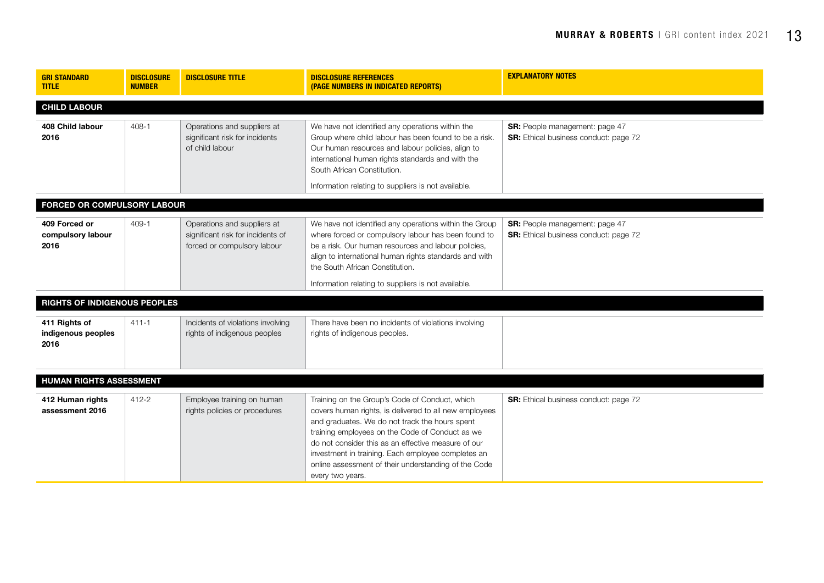| <b>GRI STANDARD</b><br><b>TITLE</b>         | <b>DISCLOSURE</b><br><b>NUMBER</b> | <b>DISCLOSURE TITLE</b>                                                                         | <b>DISCLOSURE REFERENCES</b><br>(PAGE NUMBERS IN INDICATED REPORTS)                                                                                                                                                                                                                                                                                                                                    | <b>EXPLANATORY NOTES</b>                                                       |  |
|---------------------------------------------|------------------------------------|-------------------------------------------------------------------------------------------------|--------------------------------------------------------------------------------------------------------------------------------------------------------------------------------------------------------------------------------------------------------------------------------------------------------------------------------------------------------------------------------------------------------|--------------------------------------------------------------------------------|--|
| <b>CHILD LABOUR</b>                         |                                    |                                                                                                 |                                                                                                                                                                                                                                                                                                                                                                                                        |                                                                                |  |
| 408 Child labour<br>2016                    | $408 - 1$                          | Operations and suppliers at<br>significant risk for incidents<br>of child labour                | We have not identified any operations within the<br>Group where child labour has been found to be a risk.<br>Our human resources and labour policies, align to<br>international human rights standards and with the<br>South African Constitution.<br>Information relating to suppliers is not available.                                                                                              | <b>SR:</b> People management: page 47<br>SR: Ethical business conduct: page 72 |  |
| FORCED OR COMPULSORY LABOUR                 |                                    |                                                                                                 |                                                                                                                                                                                                                                                                                                                                                                                                        |                                                                                |  |
| 409 Forced or<br>compulsory labour<br>2016  | $409 - 1$                          | Operations and suppliers at<br>significant risk for incidents of<br>forced or compulsory labour | We have not identified any operations within the Group<br>where forced or compulsory labour has been found to<br>be a risk. Our human resources and labour policies,<br>align to international human rights standards and with<br>the South African Constitution.<br>Information relating to suppliers is not available.                                                                               | <b>SR:</b> People management: page 47<br>SR: Ethical business conduct: page 72 |  |
| <b>RIGHTS OF INDIGENOUS PEOPLES</b>         |                                    |                                                                                                 |                                                                                                                                                                                                                                                                                                                                                                                                        |                                                                                |  |
| 411 Rights of<br>indigenous peoples<br>2016 | $411 - 1$                          | Incidents of violations involving<br>rights of indigenous peoples                               | There have been no incidents of violations involving<br>rights of indigenous peoples.                                                                                                                                                                                                                                                                                                                  |                                                                                |  |
| <b>HUMAN RIGHTS ASSESSMENT</b>              |                                    |                                                                                                 |                                                                                                                                                                                                                                                                                                                                                                                                        |                                                                                |  |
| 412 Human rights<br>assessment 2016         | 412-2                              | Employee training on human<br>rights policies or procedures                                     | Training on the Group's Code of Conduct, which<br>covers human rights, is delivered to all new employees<br>and graduates. We do not track the hours spent<br>training employees on the Code of Conduct as we<br>do not consider this as an effective measure of our<br>investment in training. Each employee completes an<br>online assessment of their understanding of the Code<br>every two years. | <b>SR:</b> Ethical business conduct: page 72                                   |  |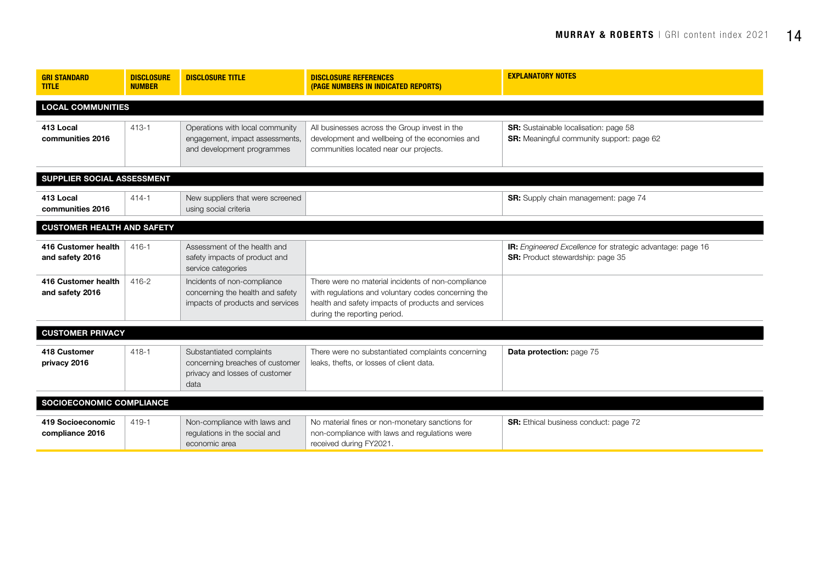| <b>GRI STANDARD</b><br><b>TITLE</b>    | <b>DISCLOSURE</b><br><b>NUMBER</b> | <b>DISCLOSURE TITLE</b>                                                                               | <b>DISCLOSURE REFERENCES</b><br>(PAGE NUMBERS IN INDICATED REPORTS)                                                                                                                             | <b>EXPLANATORY NOTES</b>                                                                       |  |  |
|----------------------------------------|------------------------------------|-------------------------------------------------------------------------------------------------------|-------------------------------------------------------------------------------------------------------------------------------------------------------------------------------------------------|------------------------------------------------------------------------------------------------|--|--|
| <b>LOCAL COMMUNITIES</b>               |                                    |                                                                                                       |                                                                                                                                                                                                 |                                                                                                |  |  |
| 413 Local<br>communities 2016          | $413 - 1$                          | Operations with local community<br>engagement, impact assessments,<br>and development programmes      | All businesses across the Group invest in the<br>development and wellbeing of the economies and<br>communities located near our projects.                                                       | SR: Sustainable localisation: page 58<br><b>SR:</b> Meaningful community support: page 62      |  |  |
| SUPPLIER SOCIAL ASSESSMENT             |                                    |                                                                                                       |                                                                                                                                                                                                 |                                                                                                |  |  |
| 413 Local<br>communities 2016          | $414 - 1$                          | New suppliers that were screened<br>using social criteria                                             |                                                                                                                                                                                                 | <b>SR:</b> Supply chain management: page 74                                                    |  |  |
| <b>CUSTOMER HEALTH AND SAFETY</b>      |                                    |                                                                                                       |                                                                                                                                                                                                 |                                                                                                |  |  |
| 416 Customer health<br>and safety 2016 | $416 - 1$                          | Assessment of the health and<br>safety impacts of product and<br>service categories                   |                                                                                                                                                                                                 | IR: Engineered Excellence for strategic advantage: page 16<br>SR: Product stewardship: page 35 |  |  |
| 416 Customer health<br>and safety 2016 | 416-2                              | Incidents of non-compliance<br>concerning the health and safety<br>impacts of products and services   | There were no material incidents of non-compliance<br>with regulations and voluntary codes concerning the<br>health and safety impacts of products and services<br>during the reporting period. |                                                                                                |  |  |
| <b>CUSTOMER PRIVACY</b>                |                                    |                                                                                                       |                                                                                                                                                                                                 |                                                                                                |  |  |
| 418 Customer<br>privacy 2016           | $418 - 1$                          | Substantiated complaints<br>concerning breaches of customer<br>privacy and losses of customer<br>data | There were no substantiated complaints concerning<br>leaks, thefts, or losses of client data.                                                                                                   | Data protection: page 75                                                                       |  |  |
| SOCIOECONOMIC COMPLIANCE               |                                    |                                                                                                       |                                                                                                                                                                                                 |                                                                                                |  |  |
| 419 Socioeconomic<br>compliance 2016   | $419 - 1$                          | Non-compliance with laws and<br>regulations in the social and<br>economic area                        | No material fines or non-monetary sanctions for<br>non-compliance with laws and regulations were<br>received during FY2021.                                                                     | <b>SR:</b> Ethical business conduct: page 72                                                   |  |  |